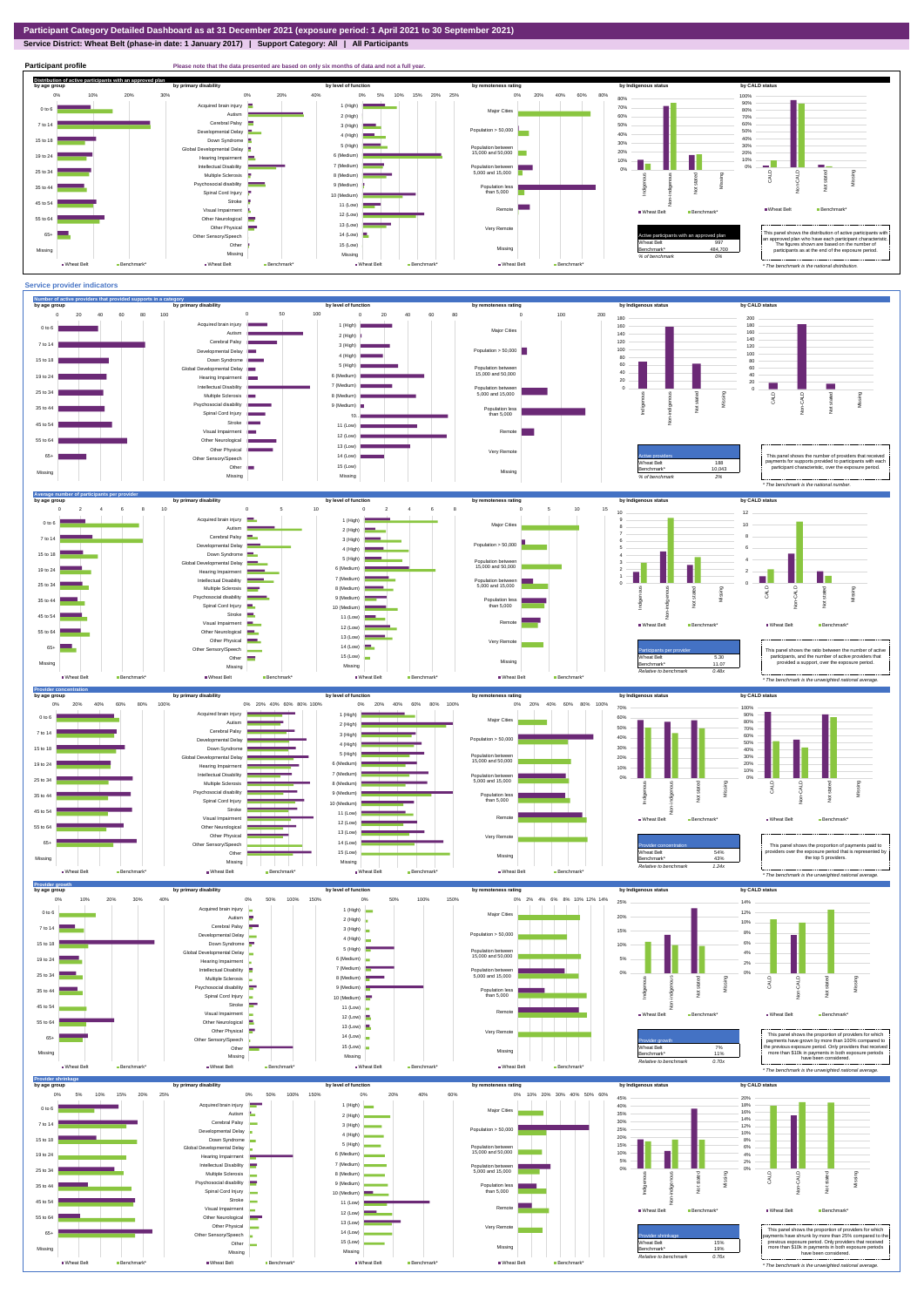**Service District: Wheat Belt (phase-in date: 1 January 2017) | Support Category: All | All Participants**



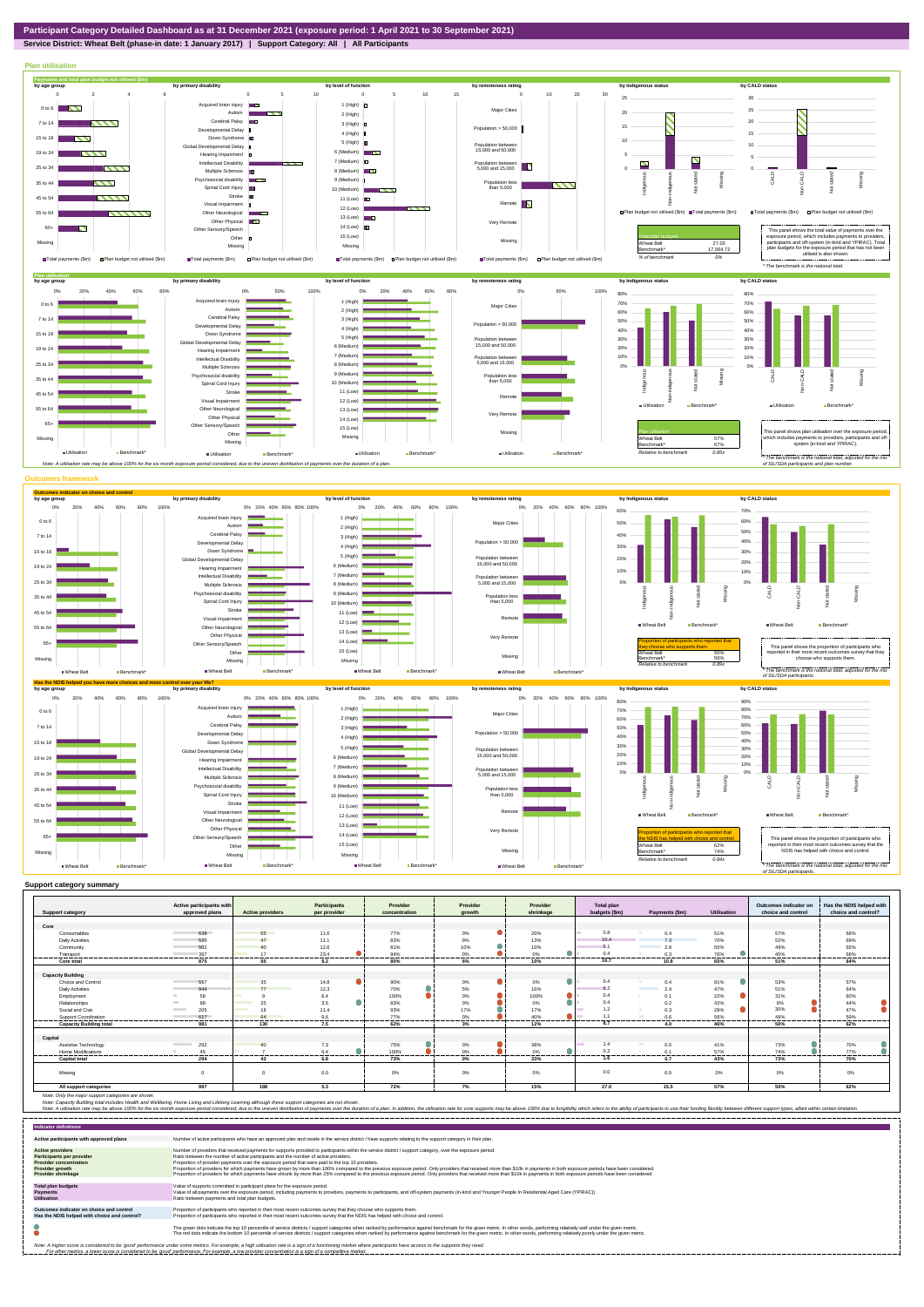**Service District: Wheat Belt (phase-in date: 1 January 2017) | Support Category: All | All Participants**



| <b>Support category</b>        | Active participants with<br>approved plans | <b>Active providers</b> | <b>Participants</b><br>per provider | Provider<br>concentration | Provider<br>growth | Provider<br>shrinkage | Total plan<br>budgets (\$m) | Payments (\$m) | <b>Utilisation</b> | Outcomes indicator or<br>choice and control | Has the NDIS helped with<br>choice and control? |
|--------------------------------|--------------------------------------------|-------------------------|-------------------------------------|---------------------------|--------------------|-----------------------|-----------------------------|----------------|--------------------|---------------------------------------------|-------------------------------------------------|
|                                |                                            |                         |                                     |                           |                    |                       |                             |                |                    |                                             |                                                 |
| Core                           |                                            |                         |                                     |                           |                    |                       |                             |                |                    |                                             |                                                 |
| Consumables                    | 638                                        | 55                      | 11.6                                | 77%                       | 0%                 | 20%                   | 0.8                         | 0.4            | 51%                | 57%                                         | 68%                                             |
| <b>Daily Activities</b>        | 520                                        | 47                      | 11.1                                | 83%                       | 9%                 | 13%                   | 10.4                        | 7.3            | 70%                | 52%                                         | 69%                                             |
| Community                      | 502                                        | 40                      | 12.6                                | 81%                       | 10%                | 10%                   | 5                           | 2.8            | 55%                | 49%                                         | 65%                                             |
| Transport                      | 397<br>                                    | 17<br>------            | 23.4<br>                            | 94%<br>.                  | 0%<br>-------      | 0%<br><br>--------    | 0.4<br>.                    | 0.3<br>.       | 76%<br>--------    | 45%<br>                                     | 66%<br>                                         |
| <b>Core total</b>              | 875                                        | 95                      | 9.2                                 | 80%                       | 6%                 | 10%                   | 16.7                        | 10.8           | 65%                | 51%                                         | 64%                                             |
| <b>Capacity Building</b>       |                                            |                         |                                     |                           |                    |                       |                             |                |                    |                                             |                                                 |
| Choice and Control             | 517                                        | 35                      | 14.8                                | 90%                       | 0%                 | $\bullet$<br>0%       | 0.4                         | 0.4            | 91%                | 53%                                         | 57%                                             |
| <b>Daily Activities</b>        | 944                                        | 77                      | 12.3                                | 70%                       | 5%                 | 16%                   | 5.2                         | 2.4            | 47%                | 51%                                         | 64%                                             |
| Employment                     | 58                                         |                         | 6.4                                 | 100%                      | 0%                 | $\bullet$<br>100%     | 0.4                         | 0.1            | 22%                | 31%                                         | 60%                                             |
| Relationships                  | 88                                         | 25                      | 3.5                                 | 83%                       | 0%                 | 0%                    | 0.4                         | 0.2            | 42%                | 6%                                          | 44%                                             |
| Social and Civic               | 205<br><b>Contract Contract</b>            | 1S                      | 11.4                                | 93%                       | 17%                | 17%                   | 1.2                         | 0.3            | 28%                | 30%                                         | 47%                                             |
| Support Coordination           | 617                                        | 64                      | 9.6                                 | 77%                       | 0%                 | 40%                   | 1 <sup>1</sup>              | 0.6            | 56%                | 49%                                         | 59%                                             |
| <b>Capacity Building total</b> | 981                                        | 130                     | ------<br>7.5                       | .<br>62%                  | .<br>3%            | <br>12%               | 8.7                         | 4.0            | ------<br>46%      | ------<br>50%                               | -----<br>62%                                    |
| Capital                        |                                            |                         |                                     |                           |                    |                       |                             |                |                    |                                             |                                                 |
| Assistive Technology           | 292<br><b>Contract Contract</b>            |                         | 7.3                                 | 75%                       | $0\%$              | 38%                   | 1.4                         | 0.6            | 41%                | 73%                                         | 70%                                             |
| Home Modifications             | 45                                         |                         | 6.4                                 | 100%                      | 0%                 | 0%                    | 0.2                         | 0.1            | 57%                | 74%                                         | 77%                                             |
| <b>Capital total</b>           | 294                                        | 43                      | .<br>6.8                            | <br>73%                   | 0%                 | 33%                   | <b>STATISTICS</b><br>1.6    | <br>0.7        | ------<br>43%      | .<br>73%                                    | -----<br>70%                                    |
| Missing                        | $\Omega$                                   | $\Omega$                | 0.0                                 | 0%                        | 0%                 | 0%                    | 0.0                         | 0.0            | 0%                 | 0%                                          | 0%                                              |
| All support categories         | 997                                        | 188                     | 5.3                                 | 72%                       | 7%                 | 15%                   | 27.0                        | 15.5           | 57%                | 50%                                         | 62%                                             |

| <b>Indicator definitions</b>                                                                                                                 |                                                                                                                                                                                                                                                                                                                                                                                                                                                                                                                                                                                                                                                                                                                                                                                                                 |
|----------------------------------------------------------------------------------------------------------------------------------------------|-----------------------------------------------------------------------------------------------------------------------------------------------------------------------------------------------------------------------------------------------------------------------------------------------------------------------------------------------------------------------------------------------------------------------------------------------------------------------------------------------------------------------------------------------------------------------------------------------------------------------------------------------------------------------------------------------------------------------------------------------------------------------------------------------------------------|
| Active participants with approved plans                                                                                                      | Number of active participants who have an approved plan and reside in the service district / have supports relating to the support category in their plan.                                                                                                                                                                                                                                                                                                                                                                                                                                                                                                                                                                                                                                                      |
| <b>Active providers</b><br><b>Participants per provider</b><br><b>Provider concentration</b><br>Provider growth<br><b>Provider shrinkage</b> | Number of providers that received payments for supports provided to participants within the service district / support category, over the exposure period,<br>Ratio between the number of active participants and the number of active providers.<br>Proportion of provider payments over the exposure period that were paid to the top 10 providers.<br>Proportion of providers for which payments have grown by more than 100% compared to the previous exposure period. Only providers that received more than \$10k in payments in both exposure periods have been considered.<br>Proportion of providers for which payments have shrunk by more than 25% compared to the previous exposure period. Only providers that received more than \$10k in payments in both exposure periods have been considered. |
| <b>Total plan budgets</b><br><b>Payments</b><br><b>Utilisation</b>                                                                           | Value of supports committed in participant plans for the exposure period.<br>Value of all payments over the exposure period, including payments to providers, payments to participants, and off-system payments (in-kind and Younger People In Residential Aged Care (YPIRAC)).<br>Ratio between payments and total plan budgets.                                                                                                                                                                                                                                                                                                                                                                                                                                                                               |
| Outcomes indicator on choice and control<br>Has the NDIS helped with choice and control?                                                     | Proportion of participants who reported in their most recent outcomes survey that they choose who supports them.<br>Proportion of participants who reported in their most recent outcomes survey that the NDIS has helped with choice and control.                                                                                                                                                                                                                                                                                                                                                                                                                                                                                                                                                              |
|                                                                                                                                              | The green dots indicate the top 10 percentile of service districts / support categories when ranked by performance against benchmark for the given metric. In other words, performing relatively well under the given metric.<br>The red dots indicate the bottom 10 percentile of service districts / support categories when ranked by performance against benchmark for the given metric. In other words, performing relatively poorly under the given metri                                                                                                                                                                                                                                                                                                                                                 |
|                                                                                                                                              | Note: A higher score is considered to be 'good' performance under some metrics. For example, a high utilisation rate is a sign of a functioning market where participants have access to the supports they need.<br>For other metrics, a lower score is considered to be 'good' performance. For example, a low provider concentration is a sign of a competitive market.                                                                                                                                                                                                                                                                                                                                                                                                                                       |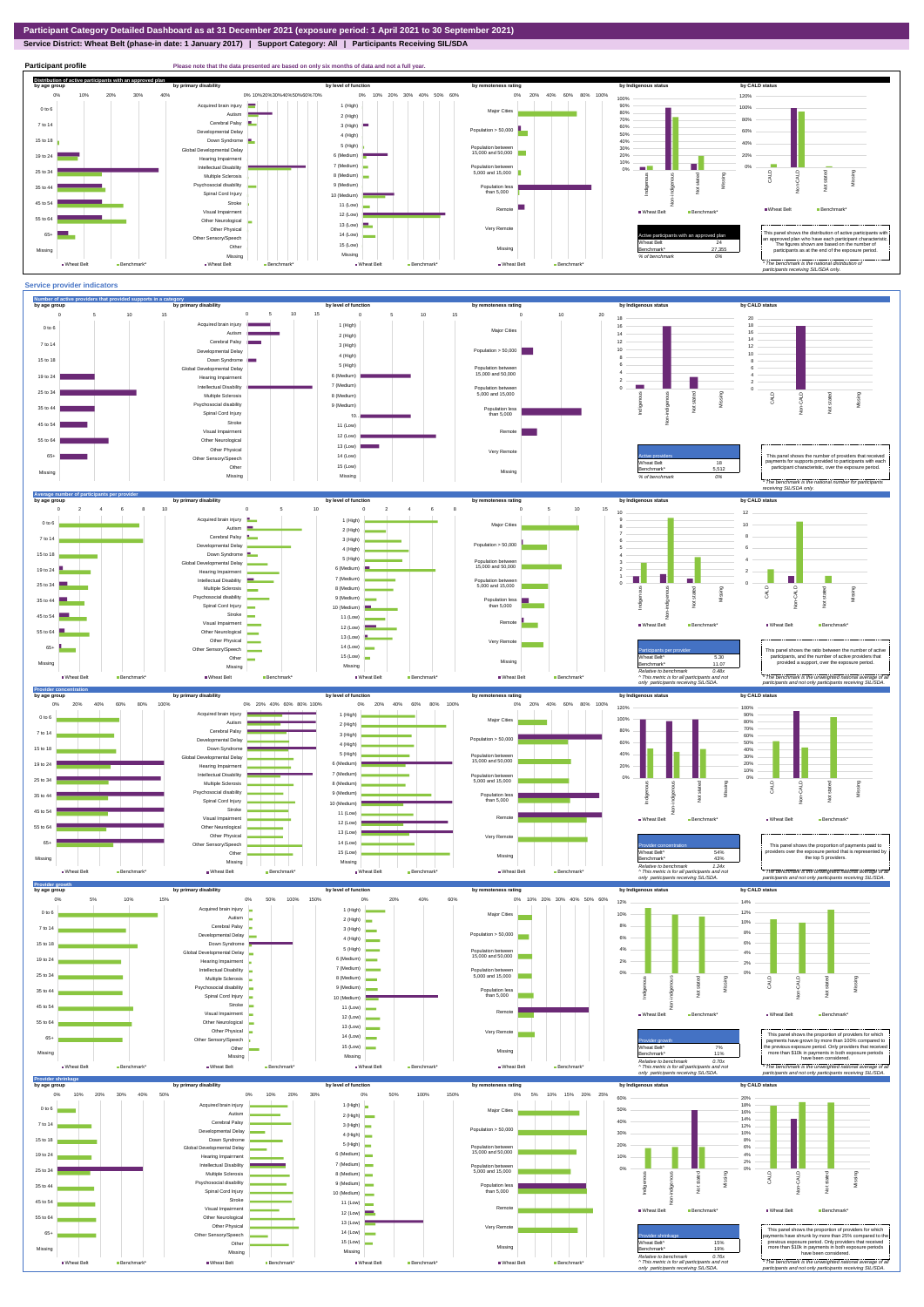**Service District: Wheat Belt (phase-in date: 1 January 2017) | Support Category: All | Participants Receiving SIL/SDA**





7 (Medium)

Intellectual Disability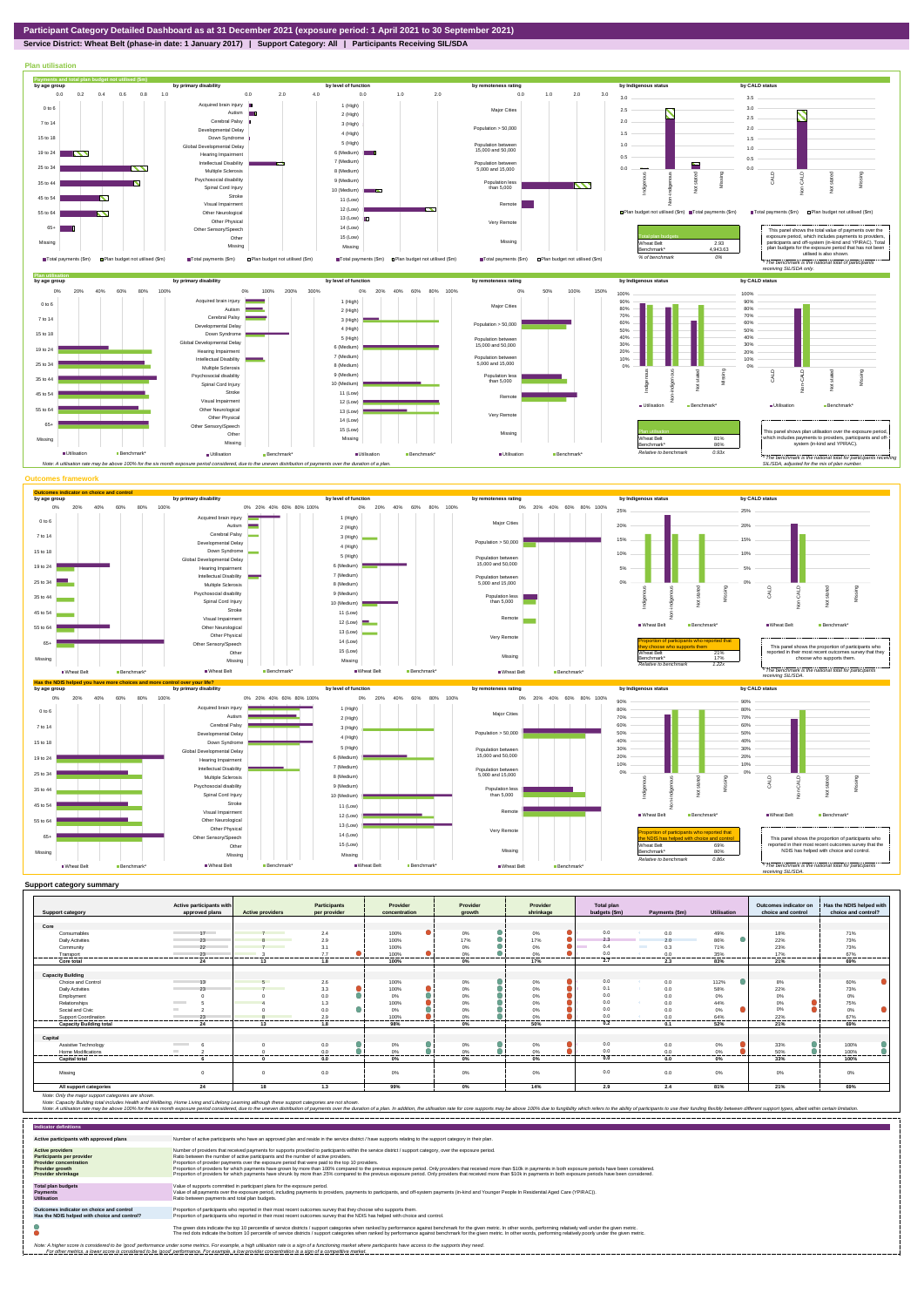## **Service District: Wheat Belt (phase-in date: 1 January 2017) | Support Category: All | Participants Receiving SIL/SDA**

Note: Only the major support categories are shown.<br>Note: Capacity Building total individual Wellbeing, Home Living and Lifelong Learning although these support categories are not shown.<br>Note: A utilisation rate may be abov



|                                | Active participants with |                         | <b>Participants</b> | Provider      | Provider   | Provider          | <b>Total plan</b> |                      |             | Outcomes indicator on | Has the NDIS helped with |
|--------------------------------|--------------------------|-------------------------|---------------------|---------------|------------|-------------------|-------------------|----------------------|-------------|-----------------------|--------------------------|
| <b>Support category</b>        | approved plans           | <b>Active providers</b> | per provider        | concentration | arowth     | shrinkage         | budgets (\$m)     | Payments (\$m)       | Utilisation | choice and control    | choice and control?      |
| Core                           |                          |                         |                     |               |            |                   |                   |                      |             |                       |                          |
| Consumables                    | 17                       |                         | 2.4                 | 100%          | 0%         | 0%                | 0.0               | 0.0                  | 49%         | 18%                   | 71%                      |
| <b>Daily Activities</b>        | 23                       |                         | 2.9                 | 100%          | 17%        | 17%               | 2.3               | 2.0                  | 86%         | 22%                   | 73%                      |
| Community                      | 22                       |                         | 3.1                 | 100%          | 0%         | 0%                | 0.4               | <b>The Co</b><br>0.3 | 71%         | 23%                   | 73%                      |
| Transport                      | 23                       |                         | 7.7                 | 100%          | 0%         | 0%                | 0.0               | 0.0                  | 35%         | 17%                   | 67%                      |
| Core total                     | -------<br>24            | 13                      | 1.8                 | 100%          | 0%         | 17%               | .<br>2.7          | 2.3                  | 83%         | 21%                   | --------<br>69%          |
|                                |                          |                         |                     |               |            |                   |                   |                      |             |                       |                          |
| <b>Capacity Building</b>       |                          |                         |                     |               |            |                   |                   |                      |             |                       |                          |
| Choice and Control             | 13                       | $\sqrt{2}$              | 2.6                 | 100%          | 0%         | 0%                | 0.0               | 0.0                  | 112%        | 8%                    | 60%                      |
| <b>Daily Activities</b>        | 23                       |                         | 3.3                 | 100%          | 0%         | 0%                | 0.1               | 0.0                  | 58%         | 22%                   | 73%                      |
| Employment                     |                          |                         | 0.0                 | 0%            | 0%         | 0%                | 0.0               | 0.0                  | 0%          | 0%                    | $0\%$                    |
| Relationships                  | <b>Contract Contract</b> |                         | 1.3                 | 100%          | 0%         | 0%                | 0.0               | 0.0                  | 44%         | 0%                    | 75%                      |
| Social and Civic               |                          |                         | 0.0                 | 0%            | 0%         | 0%                | 0.0               | 0.0                  | 0%          | 0%                    | $0\%$                    |
| Support Coordination           |                          |                         | 20                  | 100%          |            |                   | 0.0               |                      | 64%         | 22%                   | 67%                      |
| <b>Capacity Building total</b> | <br>24                   | <br>13                  | <br>1.8             | <br>98%       | <br>0%     | <br>50%           | ----------<br>0.2 | ----------<br>0.1    | <br>52%     | ---------<br>21%      | <br>69%                  |
| Capital                        |                          |                         |                     |               |            |                   |                   |                      |             |                       |                          |
| Assistive Technology           |                          |                         | 0.0                 | 0%            | 0%         | 0%                | 0.0               | 0.0                  | 0%          | 33%                   | 100%                     |
| <b>Home Modifications</b>      |                          |                         | 0.0                 | n%            | 0%         | 0%                | 0 <sub>0</sub>    | 0.0                  | 0%          | 50%                   | 100%                     |
| .<br><b>Capital total</b>      |                          | ---------               | .<br>0.0            | .             | ---------- | <br>------------- | .<br>0.0          | -----------<br>0.0   | ---------   | <br>33%               | <br><br>100%             |
|                                |                          |                         |                     | 0%            | 0%         | 0%                |                   |                      | 0%          |                       |                          |
| Missing                        | $\Omega$                 |                         | 0.0                 | 0%            | 0%         | 0%                | 0.0               | 0.0                  | $0\%$       | 0%                    | $0\%$                    |
| All support categories         | 24                       | 18                      | 1.3                 | 99%           | 0%         | 14%               | 2.9               | 2.4                  | 81%         | 21%                   | 69%                      |

| <b>Indicator definitions</b>                                                                                                                 |                                                                                                                                                                                                                                                                                                                                                                                                                                                                                                                                                                                                                                                                                                                                                                                                                 |
|----------------------------------------------------------------------------------------------------------------------------------------------|-----------------------------------------------------------------------------------------------------------------------------------------------------------------------------------------------------------------------------------------------------------------------------------------------------------------------------------------------------------------------------------------------------------------------------------------------------------------------------------------------------------------------------------------------------------------------------------------------------------------------------------------------------------------------------------------------------------------------------------------------------------------------------------------------------------------|
| Active participants with approved plans                                                                                                      | Number of active participants who have an approved plan and reside in the service district / have supports relating to the support category in their plan.                                                                                                                                                                                                                                                                                                                                                                                                                                                                                                                                                                                                                                                      |
| <b>Active providers</b><br>Participants per provider<br><b>Provider concentration</b><br><b>Provider growth</b><br><b>Provider shrinkage</b> | Number of providers that received payments for supports provided to participants within the service district / support category, over the exposure period,<br>Ratio between the number of active participants and the number of active providers.<br>Proportion of provider payments over the exposure period that were paid to the top 10 providers.<br>Proportion of providers for which payments have grown by more than 100% compared to the previous exposure period. Only providers that received more than \$10k in payments in both exposure periods have been considered.<br>Proportion of providers for which payments have shrunk by more than 25% compared to the previous exposure period. Only providers that received more than \$10k in payments in both exposure periods have been considered. |
| <b>Total plan budgets</b><br><b>Payments</b><br><b>Utilisation</b>                                                                           | Value of supports committed in participant plans for the exposure period.<br>Value of all payments over the exposure period, including payments to providers, payments to participants, and off-system payments (in-kind and Younger People In Residential Aged Care (YPIRAC)).<br>Ratio between payments and total plan budgets.                                                                                                                                                                                                                                                                                                                                                                                                                                                                               |
| Outcomes indicator on choice and control<br>Has the NDIS helped with choice and control?                                                     | Proportion of participants who reported in their most recent outcomes survey that they choose who supports them.<br>Proportion of participants who reported in their most recent outcomes survey that the NDIS has helped with choice and control.                                                                                                                                                                                                                                                                                                                                                                                                                                                                                                                                                              |
|                                                                                                                                              | The green dots indicate the top 10 percentile of service districts / support categories when ranked by performance against benchmark for the given metric. In other words, performing relatively well under the given metric.<br>The red dots indicate the bottom 10 percentile of service districts / support categories when ranked by performance against benchmark for the given metric. In other words, performing relatively poorly under the given metri                                                                                                                                                                                                                                                                                                                                                 |
|                                                                                                                                              | Note: A higher score is considered to be 'good' performance under some metrics. For example, a high utilisation rate is a sign of a functioning market where participants have access to the supports they need.<br>For other metrics, a lower score is considered to be 'good' performance. For example, a low provider concentration is a sign of a competitive market.                                                                                                                                                                                                                                                                                                                                                                                                                                       |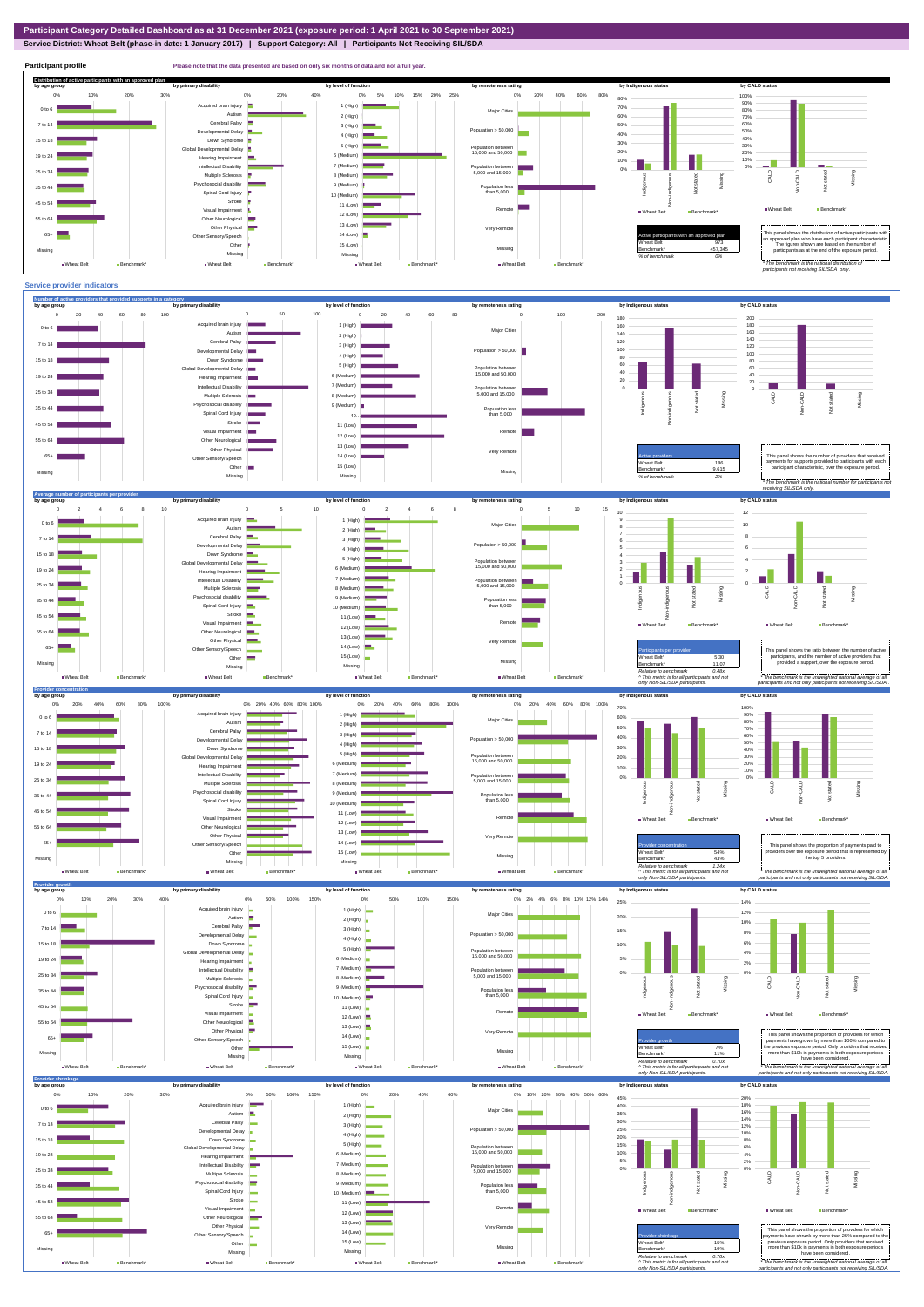**Service District: Wheat Belt (phase-in date: 1 January 2017) | Support Category: All | Participants Not Receiving SIL/SDA**